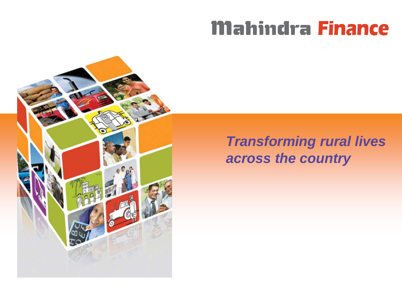# **Mahindra Finance**



## *Transforming rural lives across the country*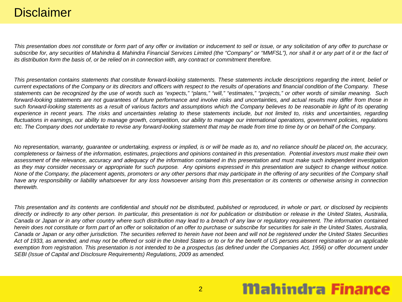#### **Disclaimer**

*This presentation does not constitute or form part of any offer or invitation or inducement to sell or issue, or any solicitation of any offer to purchase or*  subscribe for, any securities of Mahindra & Mahindra Financial Services Limited (the "Company" or "MMFSL"), nor shall it or any part of it or the fact of *its distribution form the basis of, or be relied on in connection with, any contract or commitment therefore.* 

*This presentation contains statements that constitute forward-looking statements. These statements include descriptions regarding the intent, belief or current expectations of the Company or its directors and officers with respect to the results of operations and financial condition of the Company. These*  statements can be recognized by the use of words such as "expects," "plans," "will," "estimates," "projects," or other words of similar meaning. Such *forward-looking statements are not guarantees of future performance and involve risks and uncertainties, and actual results may differ from those in such forward-looking statements as a result of various factors and assumptions which the Company believes to be reasonable in light of its operating experience in recent years. The risks and uncertainties relating to these statements include, but not limited to, risks and uncertainties, regarding fluctuations in earnings, our ability to manage growth, competition, our ability to manage our international operations, government policies, regulations etc. The Company does not undertake to revise any forward-looking statement that may be made from time to time by or on behalf of the Company.* 

*No representation, warranty, guarantee or undertaking, express or implied, is or will be made as to, and no reliance should be placed on, the accuracy, completeness or fairness of the information, estimates, projections and opinions contained in this presentation. Potential investors must make their own*  assessment of the relevance, accuracy and adequacy of the information contained in this presentation and must make such independent investigation *as they may consider necessary or appropriate for such purpose. Any opinions expressed in this presentation are subject to change without notice. None of the Company, the placement agents, promoters or any other persons that may participate in the offering of any securities of the Company shall*  have any responsibility or liability whatsoever for any loss howsoever arising from this presentation or its contents or otherwise arising in connection *therewith.*

*This presentation and its contents are confidential and should not be distributed, published or reproduced, in whole or part, or disclosed by recipients directly or indirectly to any other person. In particular, this presentation is not for publication or distribution or release in the United States, Australia, Canada or Japan or in any other country where such distribution may lead to a breach of any law or regulatory requirement. The information contained herein does not constitute or form part of an offer or solicitation of an offer to purchase or subscribe for securities for sale in the United States, Australia, Canada or Japan or any other jurisdiction. The securities referred to herein have not been and will not be registered under the United States Securities Act of 1933, as amended, and may not be offered or sold in the United States or to or for the benefit of US persons absent registration or an applicable exemption from registration. This presentation is not intended to be a prospectus (as defined under the Companies Act, 1956) or offer document under SEBI (Issue of Capital and Disclosure Requirements) Regulations, 2009 as amended.*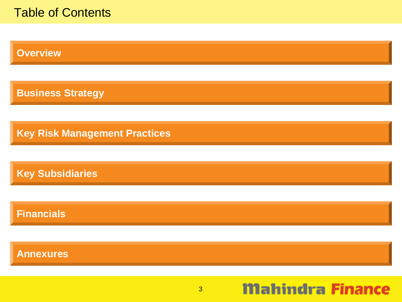#### Table of Contents

**Overview**

**Business Strategy**

**Key Risk Management Practices**

**Key Subsidiaries** 

**Financials**

#### **Annexures**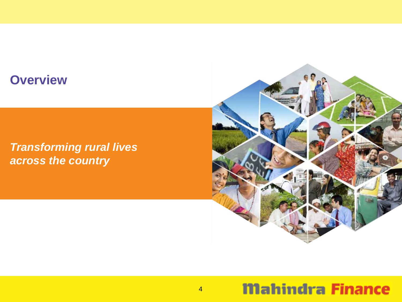#### **Overview**

*Transforming rural lives across the country*

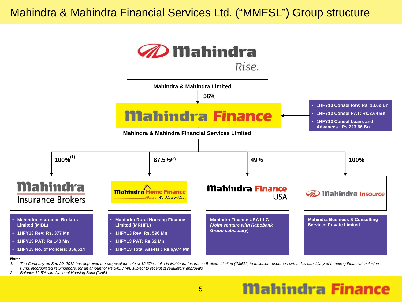#### Mahindra & Mahindra Financial Services Ltd. ("MMFSL") Group structure



1. The Company on Sep 20, 2012 has approved the proposal for sale of 12.37% stake in Mahindra Insurance Brokers Limited ("MIBL") to Inclusion resources pvt. Ltd.,a subsidiary of Leapfrog Financial Inclusion *Fund, incorporated in Singapore, for an amount of Rs.643.3 Mn, subject to receipt of regulatory approvals* 

*2. Balance 12.5% with National Housing Bank (NHB)*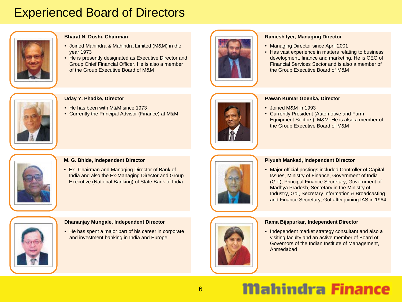### Experienced Board of Directors



#### **Bharat N. Doshi, Chairman**

- Joined Mahindra & Mahindra Limited (M&M) in the year 1973
- He is presently designated as Executive Director and Group Chief Financial Officer. He is also a member of the Group Executive Board of M&M



#### **Ramesh Iyer, Managing Director**

- Managing Director since April 2001
- Has vast experience in matters relating to business development, finance and marketing. He is CEO of Financial Services Sector and is also a member of the Group Executive Board of M&M



#### **Uday Y. Phadke, Director**

- He has been with M&M since 1973
- Currently the Principal Advisor (Finance) at M&M



#### **Pawan Kumar Goenka, Director**

- Joined M&M in 1993
- Currently President (Automotive and Farm Equipment Sectors), M&M. He is also a member of the Group Executive Board of M&M



#### **M. G. Bhide, Independent Director**

• Ex- Chairman and Managing Director of Bank of India and also the Ex-Managing Director and Group Executive (National Banking) of State Bank of India



#### **Piyush Mankad, Independent Director**

• Major official postings included Controller of Capital Issues, Ministry of Finance, Government of India (GoI), Principal Finance Secretary, Government of Madhya Pradesh, Secretary in the Ministry of Industry, GoI, Secretary Information & Broadcasting and Finance Secretary, GoI after joining IAS in 1964



#### **Dhananjay Mungale, Independent Director**

• He has spent a major part of his career in corporate and investment banking in India and Europe



#### **Rama Bijapurkar, Independent Director**

• Independent market strategy consultant and also a visiting faculty and an active member of Board of Governors of the Indian Institute of Management, Ahmedabad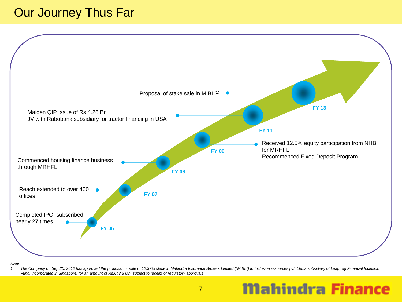### Our Journey Thus Far



*Note:*

1. The Company on Sep 20, 2012 has approved the proposal for sale of 12.37% stake in Mahindra Insurance Brokers Limited ("MIBL") to Inclusion resources pvt. Ltd.,a subsidiary of Leapfrog Financial Inclusion *Fund, incorporated in Singapore, for an amount of Rs.643.3 Mn, subject to receipt of regulatory approvals*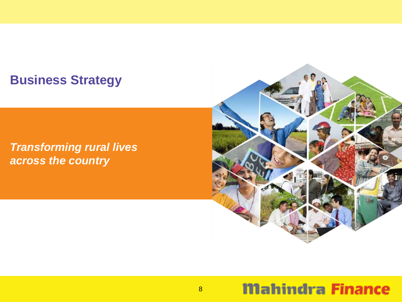## **Business Strategy**

*Transforming rural lives across the country*

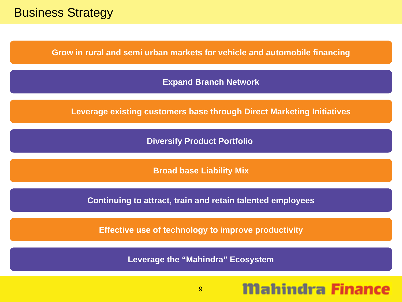**Grow in rural and semi urban markets for vehicle and automobile financing**

**Expand Branch Network**

**Leverage existing customers base through Direct Marketing Initiatives**

**Diversify Product Portfolio** 

**Broad base Liability Mix**

**Continuing to attract, train and retain talented employees**

**Effective use of technology to improve productivity**

**Leverage the "Mahindra" Ecosystem**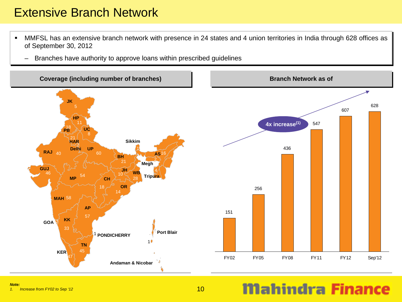### Extensive Branch Network

- ■ MMFSL has an extensive branch network with presence in 24 states and 4 union territories in India through 628 offices as of September 30, 2012 of September 30, 2012
	- ––Branches have authority to approve loans within prescribed guidelines Branches have authority to approve loans within prescribed guidelines



#### *Note:1. Increase from FY02 to Sep '12*

## **Mahindra Fina**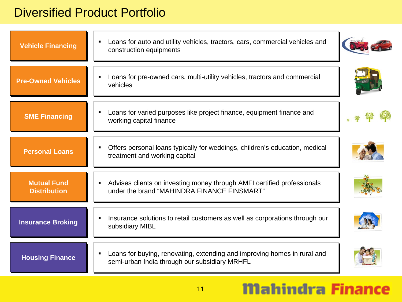### Diversified Product Portfolio

| <b>Vehicle Financing</b>                  | Loans for auto and utility vehicles, tractors, cars, commercial vehicles and<br>construction equipments                   |  |
|-------------------------------------------|---------------------------------------------------------------------------------------------------------------------------|--|
| <b>Pre-Owned Vehicles</b>                 | Loans for pre-owned cars, multi-utility vehicles, tractors and commercial<br>vehicles                                     |  |
| <b>SME Financing</b>                      | Loans for varied purposes like project finance, equipment finance and<br>working capital finance                          |  |
| <b>Personal Loans</b>                     | Offers personal loans typically for weddings, children's education, medical<br>treatment and working capital              |  |
| <b>Mutual Fund</b><br><b>Distribution</b> | Advises clients on investing money through AMFI certified professionals<br>under the brand "MAHINDRA FINANCE FINSMART"    |  |
| <b>Insurance Broking</b>                  | Insurance solutions to retail customers as well as corporations through our<br>subsidiary MIBL                            |  |
| <b>Housing Finance</b>                    | Loans for buying, renovating, extending and improving homes in rural and<br>semi-urban India through our subsidiary MRHFL |  |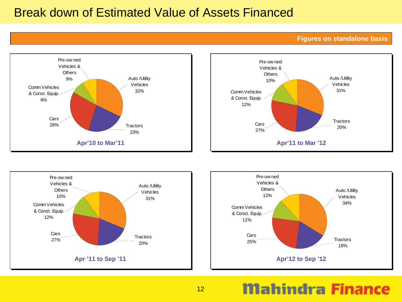#### Break down of Estimated Value of Assets Financed

**Figures on standalone basis**







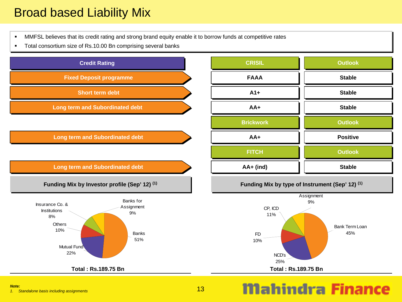### Broad based Liability Mix

- MMFSL believes that its credit rating and strong brand equity enable it to borrow funds at competitive rates MMFSL believes that its credit rating and strong brand equity enable it to borrow funds at competitive rates
- Total consortium size of Rs.10.00 Bn comprising several banks Total consortium size of Rs.10.00 Bn comprising several banks



#### *Note:1. Standalone basis including assignments*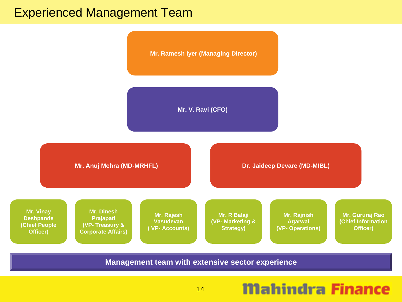#### Experienced Management Team

**Mr. Ramesh Iyer (Managing Director)**

**Mr. V. Ravi (CFO)**

**Mr. Anuj Mehra (MD-MRHFL) Dr. Jaideep Devare (MD-MIBL)** 

**Mr. Vinay Deshpande (Chief People Officer)** 

**Mr. Dinesh Prajapati (VP- Treasury & Corporate Affairs)**

**Mr. Rajesh Vasudevan ( VP- Accounts)**

**Mr. R Balaji (VP- Marketing & Strategy)**

**Mr. Rajnish Agarwal (VP- Operations)**

**Mr. Gururaj Rao (Chief Information Officer)**

**Management team with extensive sector experience**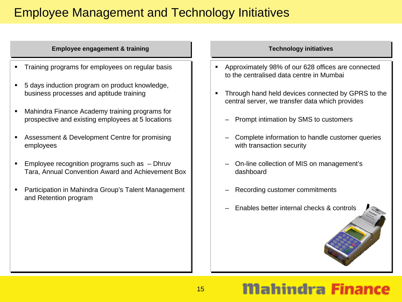### Employee Management and Technology Initiatives

#### **Employee engagement & training Employee engagement & training**

- ٠ Training programs for employees on regular basis Training programs for employees on regular basis ■
- ۰ 5 days induction program on product knowledge, 5 days induction program on product knowledge, business processes and aptitude training business processes and aptitude training ■
- ٠ Mahindra Finance Academy training programs for Mahindra Finance Academy training programs for prospective and existing employees at 5 locations prospective and existing employees at 5 locations ■
- ۰ Assessment & Development Centre for promising Assessment & Development Centre for promising employees employees ■
- Employee recognition programs such as – Dhruv Employee recognition programs such as – Dhruv Tara, Annual Convention Award and Achievement Box Tara, Annual Convention Award and Achievement Box
- Participation in Mahindra Group's Talent Management Participation in Mahindra Group's Talent Management and Retention program and Retention program

#### **Technology initiatives Technology initiatives**

- ٠ Approximately 98% of our 628 offices are connected Approximately 98% of our 628 offices are connected to the centralised data centre in Mumbai ■
- Through hand held devices connected by GPRS to the Through hand held devices connected by GPRS to the central server, we transfer data which provides central server, we transfer data which provides
	- Prompt intimation by SMS to customers Prompt intimation by SMS to customers –
	- Complete information to handle customer queries Complete information to handle customer queries with transaction security with transaction security
	- On-line collection of MIS on management's On-line collection of MIS on management's dashboard –
	- Recording customer commitments Recording customer commitments –
	- Enables better internal checks & controls Enables better internal checks & controls–

## Mahindra Fin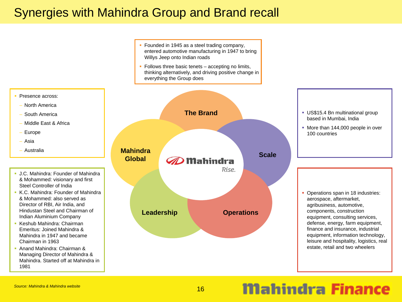#### Synergies with Mahindra Group and Brand recall

 Founded in 1945 as a steel trading company, entered automotive manufacturing in 1947 to bring Willys Jeep onto Indian roads

- Follows three basic tenets accepting no limits, thinking alternatively, and driving positive change in everything the Group does
- Presence across: – North America **The Brand** South America – Middle East & Africa  $\rightarrow$  Europe 100 countries– Asia **Mahindra** – Australia **ScaleGlobal**Mahindra Rise. J.C. Mahindra: Founder of Mahindra & Mohammed: visionary and first Steel Controller of India K.C. Mahindra: Founder of Mahindra ■ & Mohammed: also served as Director of RBI, Air India, and Hindustan Steel and Chairman of **Leadership Operations** Indian Aluminium Company • Keshub Mahindra: Chairman Emeritus: Joined Mahindra & Mahindra in 1947 and became Chairman in 1963
	- Anand Mahindra: Chairman & Managing Director of Mahindra & Mahindra. Started off at Mahindra in 1981

#### *Source: Mahindra & Mahindra website*

### **Mahindra Finance**

- US\$15.4 Bn multinational group based in Mumbai, India
- More than 144,000 people in over

 Operations span in 18 industries: aerospace, aftermarket, agribusiness, automotive, components, construction equipment, consulting services, defense, energy, farm equipment, finance and insurance, industrial equipment, information technology, leisure and hospitality, logistics, real estate, retail and two wheelers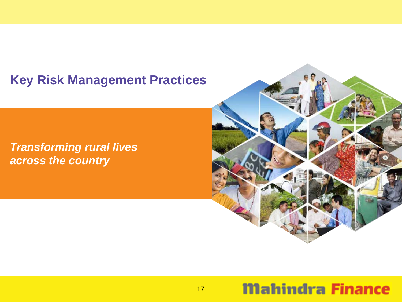## **Key Risk Management Practices**

*Transforming rural lives across the country*

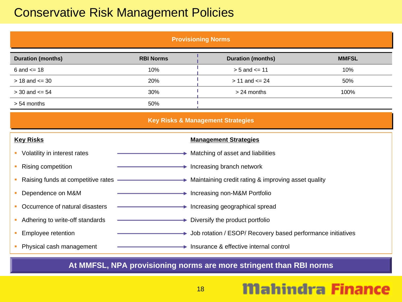## Conservative Risk Management Policies

| <b>Provisioning Norms</b>                                         |                                                       |                                                               |              |  |  |
|-------------------------------------------------------------------|-------------------------------------------------------|---------------------------------------------------------------|--------------|--|--|
| <b>Duration (months)</b>                                          | <b>RBI Norms</b>                                      | <b>Duration (months)</b>                                      | <b>MMFSL</b> |  |  |
| 6 and $\le$ 18                                                    | 10%                                                   | $> 5$ and $<= 11$                                             | 10%          |  |  |
| $> 18$ and $<= 30$                                                | 20%                                                   | $> 11$ and $<= 24$                                            | 50%          |  |  |
| $> 30$ and $<= 54$                                                | 30%                                                   | > 24 months                                                   | 100%         |  |  |
| > 54 months                                                       | 50%                                                   |                                                               |              |  |  |
| <b>Key Risks &amp; Management Strategies</b>                      |                                                       |                                                               |              |  |  |
| <b>Key Risks</b>                                                  |                                                       | <b>Management Strategies</b>                                  |              |  |  |
| • Volatility in interest rates                                    |                                                       | Matching of asset and liabilities                             |              |  |  |
| <b>Rising competition</b>                                         | $\blacktriangleright$ Increasing branch network       |                                                               |              |  |  |
| Raising funds at competitive rates -                              | → Maintaining credit rating & improving asset quality |                                                               |              |  |  |
| Dependence on M&M<br>→ Increasing non-M&M Portfolio               |                                                       |                                                               |              |  |  |
| Occurrence of natural disasters<br>Increasing geographical spread |                                                       |                                                               |              |  |  |
| Adhering to write-off standards                                   |                                                       | $\rightarrow$ Diversify the product portfolio                 |              |  |  |
| Employee retention                                                |                                                       | > Job rotation / ESOP/ Recovery based performance initiatives |              |  |  |
| Physical cash management                                          | Insurance & effective internal control                |                                                               |              |  |  |

**At MMFSL, NPA provisioning norms are more stringent than RBI norms**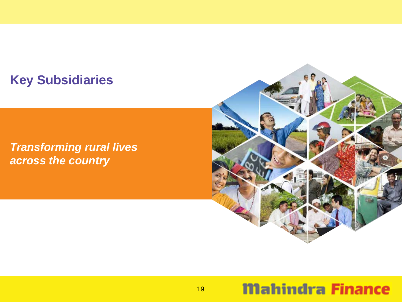## **Key Subsidiaries**

*Transforming rural lives across the country*

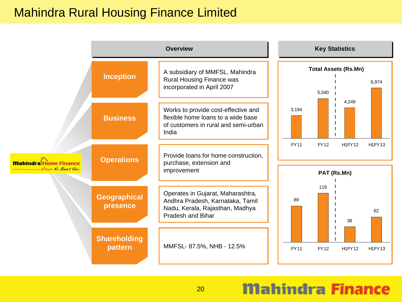### Mahindra Rural Housing Finance Limited

|                                                   |                                 | <b>Key Statistics</b>                                                                                                                |             |                                             |               |               |
|---------------------------------------------------|---------------------------------|--------------------------------------------------------------------------------------------------------------------------------------|-------------|---------------------------------------------|---------------|---------------|
| <b>Mahindra Home Finance</b><br>Ghar Ki Baat Hai. | <b>Inception</b>                | A subsidiary of MMFSL, Mahindra<br>Rural Housing Finance was<br>incorporated in April 2007                                           |             | <b>Total Assets (Rs.Mn)</b><br>5,540        |               | 6,974         |
|                                                   | <b>Business</b>                 | Works to provide cost-effective and<br>flexible home loans to a wide base<br>of customers in rural and semi-urban<br>India           | 3,194       | 4,249                                       |               |               |
|                                                   | <b>Operations</b>               | Provide loans for home construction,<br>purchase, extension and<br>improvement                                                       | <b>FY11</b> | <b>FY12</b><br><b>H1FY12</b><br>PAT (Rs.Mn) |               | <b>H1FY13</b> |
|                                                   | <b>Geographical</b><br>presence | Operates in Gujarat, Maharashtra,<br>Andhra Pradesh, Karnataka, Tamil<br>Nadu, Kerala, Rajasthan, Madhya<br><b>Pradesh and Bihar</b> | 89          | 119                                         | 62<br>38      |               |
|                                                   | <b>Shareholding</b><br>pattern  | MMFSL-87.5%, NHB - 12.5%                                                                                                             | <b>FY11</b> | <b>FY12</b>                                 | <b>H1FY12</b> | <b>H1FY13</b> |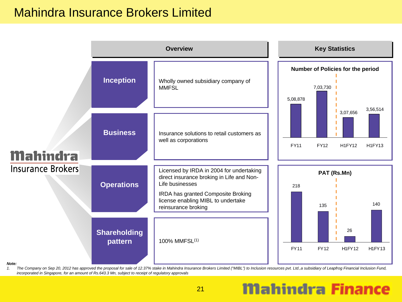#### Mahindra Insurance Brokers Limited



1. The Company on Sep 20, 2012 has approved the proposal for sale of 12.37% stake in Mahindra Insurance Brokers Limited ("MIBL") to Inclusion resources pvt. Ltd.,a subsidiary of Leapfrog Financial Inclusion Fund, *incorporated in Singapore, for an amount of Rs.643.3 Mn, subject to receipt of regulatory approvals*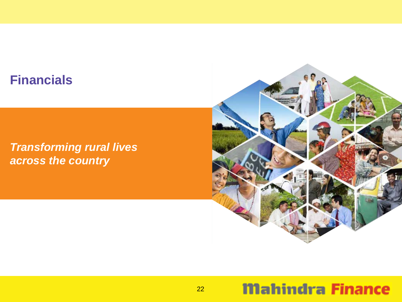## **Financials**

*Transforming rural lives across the country*

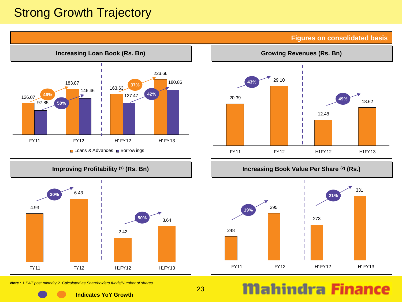### **Strong Growth Trajectory**

**Figures on consolidated basis**



Loans & Advances ■ Borrow ings



**Indicates YoY Growth**

*Note : 1 PAT post minority 2. Calculated as Shareholders funds/Number of shares*



**Increasing Book Value Per Share (2) (Rs.) Increasing Book Value Per Share (2) (Rs.)**



## **Mahindra Finance**

23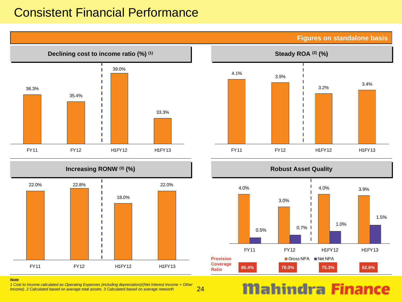#### Consistent Financial Performance

**Figures on standalone basis**











## **Mahindra Finance**

*Note* 

*1 Cost to Income calculated as Operating Expenses (including depreciation)/(Net Interest Income + Other Income). 2 Calculated based on average total assets. 3 Calculated based on average networth*

24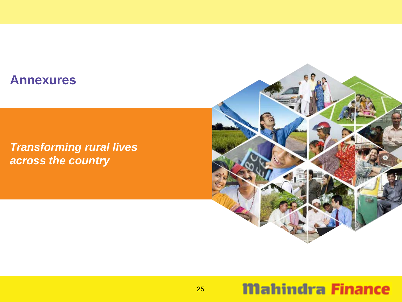#### **Annexures**

*Transforming rural lives across the country*

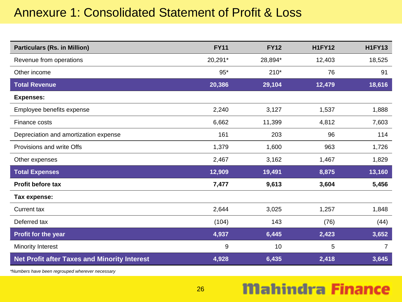### Annexure 1: Consolidated Statement of Profit & Loss

| <b>Particulars (Rs. in Million)</b>                 | <b>FY11</b> | <b>FY12</b> | <b>H1FY12</b> | <b>H1FY13</b> |
|-----------------------------------------------------|-------------|-------------|---------------|---------------|
| Revenue from operations                             | 20,291*     | 28,894*     | 12,403        | 18,525        |
| Other income                                        | $95*$       | $210*$      | 76            | 91            |
| <b>Total Revenue</b>                                | 20,386      | 29,104      | 12,479        | 18,616        |
| <b>Expenses:</b>                                    |             |             |               |               |
| Employee benefits expense                           | 2,240       | 3,127       | 1,537         | 1,888         |
| Finance costs                                       | 6,662       | 11,399      | 4,812         | 7,603         |
| Depreciation and amortization expense               | 161         | 203         | 96            | 114           |
| Provisions and write Offs                           | 1,379       | 1,600       | 963           | 1,726         |
| Other expenses                                      | 2,467       | 3,162       | 1,467         | 1,829         |
| <b>Total Expenses</b>                               | 12,909      | 19,491      | 8,875         | 13,160        |
| <b>Profit before tax</b>                            | 7,477       | 9,613       | 3,604         | 5,456         |
| Tax expense:                                        |             |             |               |               |
| <b>Current tax</b>                                  | 2,644       | 3,025       | 1,257         | 1,848         |
| Deferred tax                                        | (104)       | 143         | (76)          | (44)          |
| Profit for the year                                 | 4,937       | 6,445       | 2,423         | 3,652         |
| Minority Interest                                   | 9           | 10          | 5             | 7             |
| <b>Net Profit after Taxes and Minority Interest</b> | 4,928       | 6,435       | 2,418         | 3,645         |

*\*Numbers have been regrouped wherever necessary*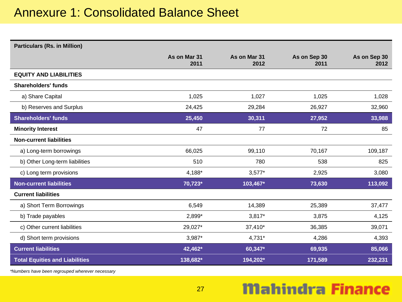#### Annexure 1: Consolidated Balance Sheet

| <b>Particulars (Rs. in Million)</b>   |                      |                      |                      |                      |
|---------------------------------------|----------------------|----------------------|----------------------|----------------------|
|                                       | As on Mar 31<br>2011 | As on Mar 31<br>2012 | As on Sep 30<br>2011 | As on Sep 30<br>2012 |
| <b>EQUITY AND LIABILITIES</b>         |                      |                      |                      |                      |
| <b>Shareholders' funds</b>            |                      |                      |                      |                      |
| a) Share Capital                      | 1,025                | 1,027                | 1,025                | 1,028                |
| b) Reserves and Surplus               | 24,425               | 29,284               | 26,927               | 32,960               |
| <b>Shareholders' funds</b>            | 25,450               | 30,311               | 27,952               | 33,988               |
| <b>Minority Interest</b>              | 47                   | 77                   | 72                   | 85                   |
| <b>Non-current liabilities</b>        |                      |                      |                      |                      |
| a) Long-term borrowings               | 66,025               | 99,110               | 70,167               | 109,187              |
| b) Other Long-term liabilities        | 510                  | 780                  | 538                  | 825                  |
| c) Long term provisions               | 4,188*               | $3,577*$             | 2,925                | 3,080                |
| <b>Non-current liabilities</b>        | 70,723*              | 103,467*             | 73,630               | 113,092              |
| <b>Current liabilities</b>            |                      |                      |                      |                      |
| a) Short Term Borrowings              | 6,549                | 14,389               | 25,389               | 37,477               |
| b) Trade payables                     | 2,899*               | $3,817*$             | 3,875                | 4,125                |
| c) Other current liabilities          | 29,027*              | 37,410*              | 36,385               | 39,071               |
| d) Short term provisions              | 3,987*               | 4,731*               | 4,286                | 4,393                |
| <b>Current liabilities</b>            | 42,462*              | 60,347*              | 69,935               | 85,066               |
| <b>Total Equities and Liabilities</b> | 138,682*             | 194,202*             | 171,589              | 232,231              |
|                                       |                      |                      |                      |                      |

*\*Numbers have been regrouped wherever necessary*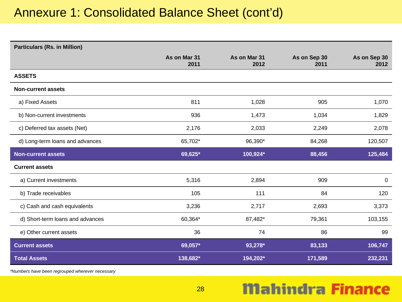### Annexure 1: Consolidated Balance Sheet (cont'd)

| <b>Particulars (Rs. in Million)</b> |                      |                      |                      |                      |
|-------------------------------------|----------------------|----------------------|----------------------|----------------------|
|                                     | As on Mar 31<br>2011 | As on Mar 31<br>2012 | As on Sep 30<br>2011 | As on Sep 30<br>2012 |
| <b>ASSETS</b>                       |                      |                      |                      |                      |
| <b>Non-current assets</b>           |                      |                      |                      |                      |
| a) Fixed Assets                     | 811                  | 1,028                | 905                  | 1,070                |
| b) Non-current investments          | 936                  | 1,473                | 1,034                | 1,829                |
| c) Deferred tax assets (Net)        | 2,176                | 2,033                | 2,249                | 2,078                |
| d) Long-term loans and advances     | 65,702*              | 96,390*              | 84,268               | 120,507              |
| <b>Non-current assets</b>           | 69,625*              | 100,924*             | 88,456               | 125,484              |
| <b>Current assets</b>               |                      |                      |                      |                      |
| a) Current investments              | 5,316                | 2,894                | 909                  | 0                    |
| b) Trade receivables                | 105                  | 111                  | 84                   | 120                  |
| c) Cash and cash equivalents        | 3,236                | 2,717                | 2,693                | 3,373                |
| d) Short-term loans and advances    | 60,364*              | 87,482*              | 79,361               | 103,155              |
| e) Other current assets             | 36                   | 74                   | 86                   | 99                   |
| <b>Current assets</b>               | 69,057*              | 93,278*              | 83,133               | 106,747              |
| <b>Total Assets</b>                 | 138,682*             | 194,202*             | 171,589              | 232,231              |

*\*Numbers have been regrouped wherever necessary*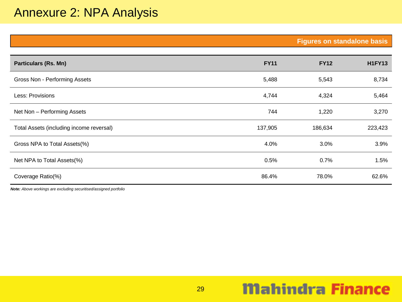### Annexure 2: NPA Analysis

| <b>Figures on standalone basis!</b> |  |  |
|-------------------------------------|--|--|
|                                     |  |  |

| <b>Particulars (Rs. Mn)</b>              | <b>FY11</b> | <b>FY12</b> | <b>H1FY13</b> |
|------------------------------------------|-------------|-------------|---------------|
| Gross Non - Performing Assets            | 5,488       | 5,543       | 8,734         |
| Less: Provisions                         | 4,744       | 4,324       | 5,464         |
| Net Non - Performing Assets              | 744         | 1,220       | 3,270         |
| Total Assets (including income reversal) | 137,905     | 186,634     | 223,423       |
| Gross NPA to Total Assets(%)             | 4.0%        | 3.0%        | 3.9%          |
| Net NPA to Total Assets(%)               | 0.5%        | 0.7%        | 1.5%          |
| Coverage Ratio(%)                        | 86.4%       | 78.0%       | 62.6%         |

*Note: Above workings are excluding securitised/assigned portfolio*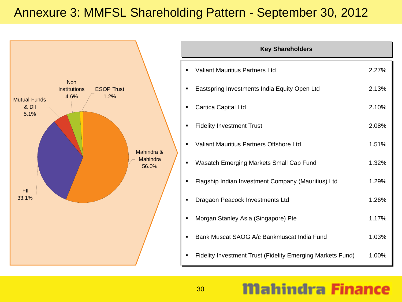### Annexure 3: MMFSL Shareholding Pattern - September 30, 2012